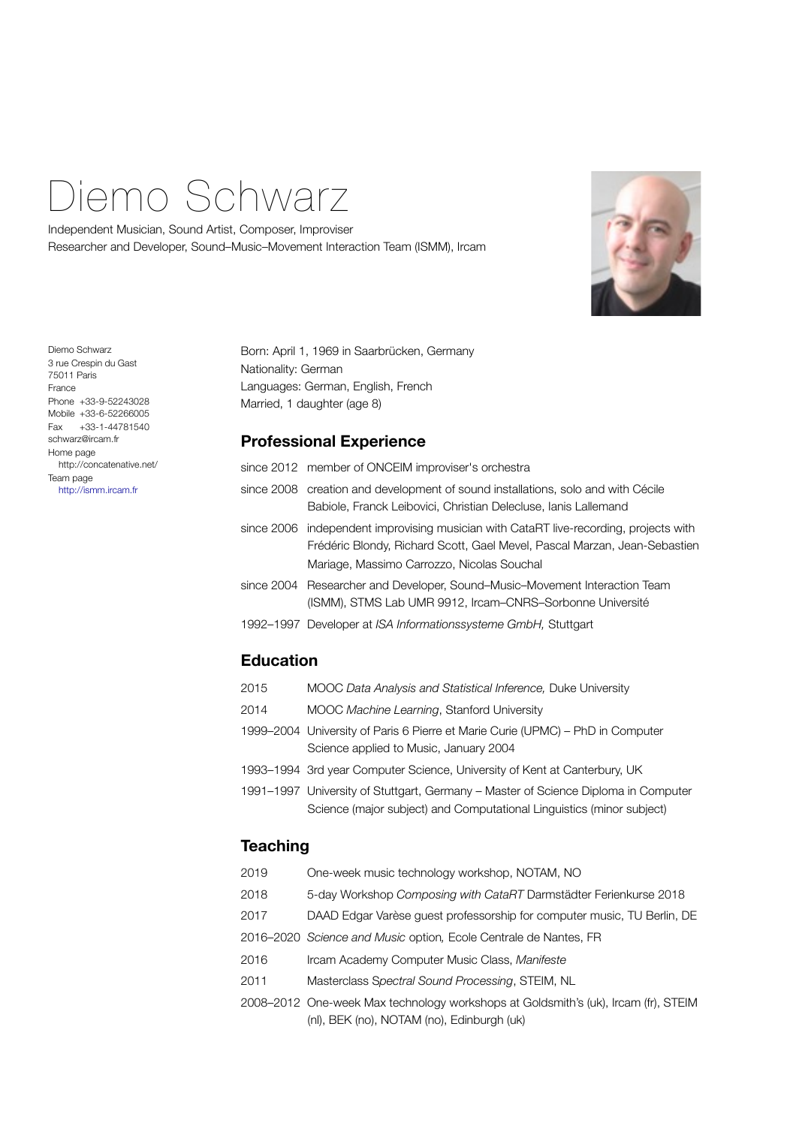# Diemo Schwarz

Independent Musician, Sound Artist, Composer, Improviser Researcher and Developer, Sound–Music–Movement Interaction Team (ISMM), Ircam



Diemo Schwarz 3 rue Crespin du Gast 75011 Paris France Phone +33-9-52243028 Mobile +33-6-52266005 Fax +33-1-44781540 schwarz@ircam.fr Home page http://concatenative.net/ Team page <http://ismm.ircam.fr>

Born: April 1, 1969 in Saarbrücken, Germany Nationality: German Languages: German, English, French Married, 1 daughter (age 8)

## **Professional Experience**

|            | since 2012 member of ONCEIM improviser's orchestra                                                                                                                                                    |
|------------|-------------------------------------------------------------------------------------------------------------------------------------------------------------------------------------------------------|
|            | since 2008 creation and development of sound installations, solo and with Cécile<br>Babiole, Franck Leibovici, Christian Delecluse, Ianis Lallemand                                                   |
| since 2006 | independent improvising musician with CataRT live-recording, projects with<br>Frédéric Blondy, Richard Scott, Gael Mevel, Pascal Marzan, Jean-Sebastien<br>Mariage, Massimo Carrozzo, Nicolas Souchal |
| since 2004 | Researcher and Developer, Sound–Music–Movement Interaction Team<br>(ISMM), STMS Lab UMR 9912, Ircam-CNRS-Sorbonne Université                                                                          |
|            | 1992–1997 Developer at ISA Informationssysteme GmbH, Stuttgart                                                                                                                                        |
|            |                                                                                                                                                                                                       |

## **Education**

| 2015 | MOOC Data Analysis and Statistical Inference, Duke University                                                                                               |
|------|-------------------------------------------------------------------------------------------------------------------------------------------------------------|
| 2014 | MOOC Machine Learning, Stanford University                                                                                                                  |
|      | 1999–2004 University of Paris 6 Pierre et Marie Curie (UPMC) – PhD in Computer<br>Science applied to Music, January 2004                                    |
|      | 1993–1994 3rd year Computer Science, University of Kent at Canterbury, UK                                                                                   |
|      | 1991–1997 University of Stuttgart, Germany – Master of Science Diploma in Computer<br>Science (major subject) and Computational Linguistics (minor subject) |

## **Teaching**

| 2019 | One-week music technology workshop, NOTAM, NO                                                                                    |
|------|----------------------------------------------------------------------------------------------------------------------------------|
| 2018 | 5-day Workshop Composing with CataRT Darmstädter Ferienkurse 2018                                                                |
| 2017 | DAAD Edgar Varèse quest professorship for computer music, TU Berlin, DE                                                          |
|      | 2016–2020 Science and Music option, Ecole Centrale de Nantes, FR                                                                 |
| 2016 | Ircam Academy Computer Music Class, Manifeste                                                                                    |
| 2011 | Masterclass Spectral Sound Processing, STEIM, NL                                                                                 |
|      | 2008–2012 One-week Max technology workshops at Goldsmith's (uk), Ircam (fr), STEIM<br>(nl), BEK (no), NOTAM (no), Edinburgh (uk) |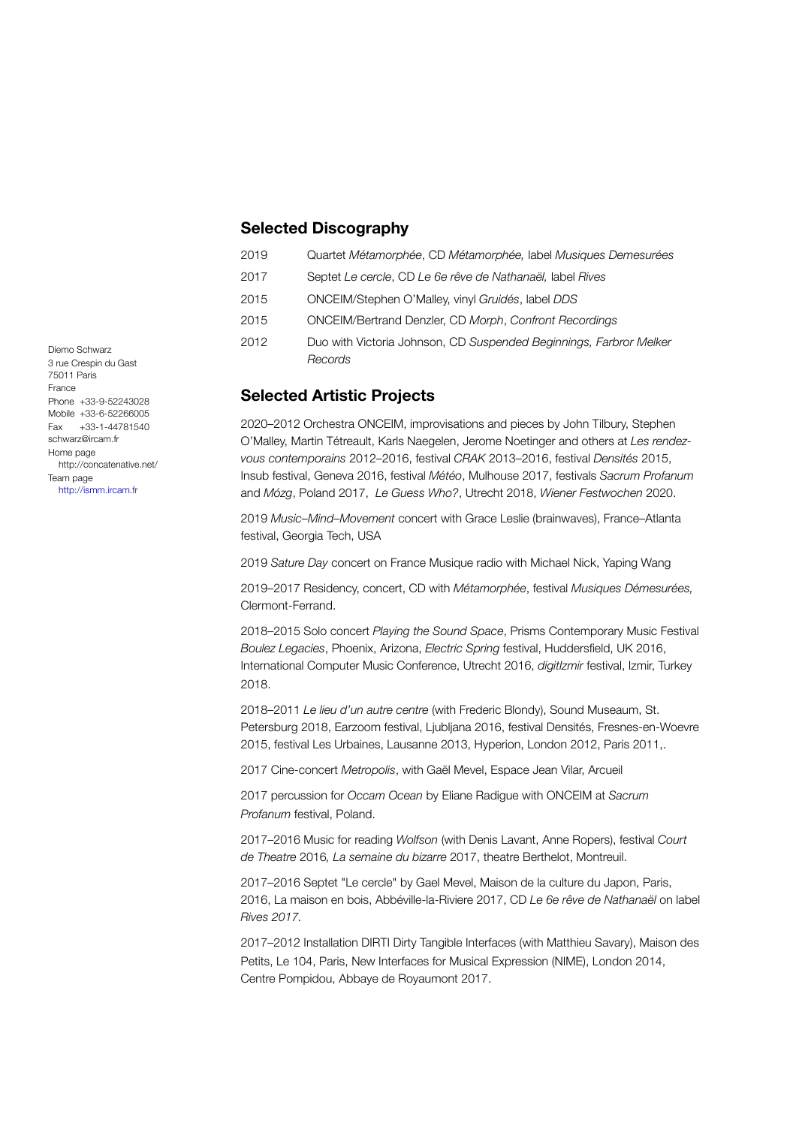#### **Selected Discography**

| Septet Le cercle, CD Le 6e rêve de Nathanaël, label Rives<br>2017<br>ONCEIM/Stephen O'Malley, vinyl Gruidés, label DDS<br>2015<br><b>ONCEIM/Bertrand Denzler, CD Morph, Confront Recordings</b><br>2015 | Quartet Métamorphée, CD Métamorphée, label Musiques Demesurées |
|---------------------------------------------------------------------------------------------------------------------------------------------------------------------------------------------------------|----------------------------------------------------------------|
|                                                                                                                                                                                                         |                                                                |
|                                                                                                                                                                                                         |                                                                |
|                                                                                                                                                                                                         |                                                                |
| Duo with Victoria Johnson, CD Suspended Beginnings, Farbror Melker<br>2012<br>Records                                                                                                                   |                                                                |

## **Selected Artistic Projects**

2020–2012 Orchestra ONCEIM, improvisations and pieces by John Tilbury, Stephen O'Malley, Martin Tétreault, Karls Naegelen, Jerome Noetinger and others at *Les rendezvous contemporains* 2012–2016, festival *CRAK* 2013–2016, festival *Densités* 2015, Insub festival, Geneva 2016, festival *Météo*, Mulhouse 2017, festivals *Sacrum Profanum* and *Mózg*, Poland 2017, *Le Guess Who?*, Utrecht 2018, *Wiener Festwochen* 2020.

2019 *Music–Mind–Movement* concert with Grace Leslie (brainwaves), France–Atlanta festival, Georgia Tech, USA

2019 *Sature Day* concert on France Musique radio with Michael Nick, Yaping Wang

2019–2017 Residency, concert, CD with *Métamorphée*, festival *Musiques Démesurées,*  Clermont-Ferrand.

2018–2015 Solo concert *Playing the Sound Space*, Prisms Contemporary Music Festival *Boulez Legacies*, Phoenix, Arizona, *Electric Spring* festival, Huddersfield, UK 2016, International Computer Music Conference, Utrecht 2016, *digitIzmir* festival, Izmir, Turkey 2018.

2018–2011 *Le lieu d'un autre centre* (with Frederic Blondy), Sound Museaum, St. Petersburg 2018, Earzoom festival, Ljubljana 2016, festival Densités, Fresnes-en-Woevre 2015, festival Les Urbaines, Lausanne 2013, Hyperion, London 2012, Paris 2011,.

2017 Cine-concert *Metropolis*, with Gaël Mevel, Espace Jean Vilar, Arcueil

2017 percussion for *Occam Ocean* by Eliane Radigue with ONCEIM at *Sacrum Profanum* festival, Poland.

2017–2016 Music for reading *Wolfson* (with Denis Lavant, Anne Ropers), festival *Court de Theatre* 2016*, La semaine du bizarre* 2017, theatre Berthelot, Montreuil.

2017–2016 Septet "Le cercle" by Gael Mevel, Maison de la culture du Japon, Paris, 2016, La maison en bois, Abbéville-la-Riviere 2017, CD *Le 6e rêve de Nathanaël* on label *Rives 2017.*

2017–2012 Installation DIRTI Dirty Tangible Interfaces (with Matthieu Savary), Maison des Petits, Le 104, Paris, New Interfaces for Musical Expression (NIME), London 2014, Centre Pompidou, Abbaye de Royaumont 2017.

Diemo Schwarz 3 rue Crespin du Gast 75011 Paris France Phone +33-9-52243028 Mobile +33-6-52266005 Fax +33-1-44781540 schwarz@ircam.fr Home page http://concatenative.net/ Team page <http://ismm.ircam.fr>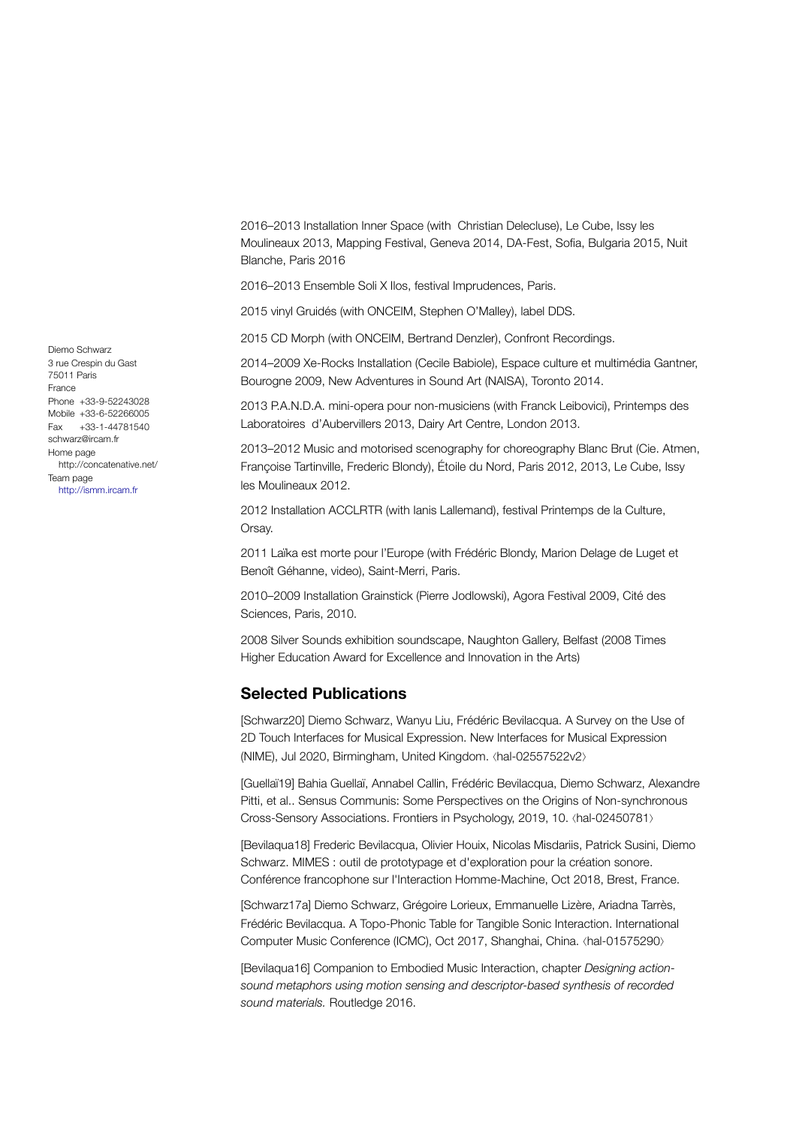2016–2013 Installation Inner Space (with Christian Delecluse), Le Cube, Issy les Moulineaux 2013, Mapping Festival, Geneva 2014, DA-Fest, Sofia, Bulgaria 2015, Nuit Blanche, Paris 2016

2016–2013 Ensemble Soli X Ilos, festival Imprudences, Paris.

2015 vinyl Gruidés (with ONCEIM, Stephen O'Malley), label DDS.

2015 CD Morph (with ONCEIM, Bertrand Denzler), Confront Recordings.

2014–2009 Xe-Rocks Installation (Cecile Babiole), Espace culture et multimédia Gantner, Bourogne 2009, New Adventures in Sound Art (NAISA), Toronto 2014.

2013 P.A.N.D.A. mini-opera pour non-musiciens (with Franck Leibovici), Printemps des Laboratoires d'Aubervillers 2013, Dairy Art Centre, London 2013.

2013–2012 Music and motorised scenography for choreography Blanc Brut (Cie. Atmen, Françoise Tartinville, Frederic Blondy), Étoile du Nord, Paris 2012, 2013, Le Cube, Issy les Moulineaux 2012.

2012 Installation ACCLRTR (with Ianis Lallemand), festival Printemps de la Culture, Orsay.

2011 Laïka est morte pour l'Europe (with Frédéric Blondy, Marion Delage de Luget et Benoît Géhanne, video), Saint-Merri, Paris.

2010–2009 Installation Grainstick (Pierre Jodlowski), Agora Festival 2009, Cité des Sciences, Paris, 2010.

2008 Silver Sounds exhibition soundscape, Naughton Gallery, Belfast (2008 Times Higher Education Award for Excellence and Innovation in the Arts)

#### **Selected Publications**

[Schwarz20] Diemo Schwarz, Wanyu Liu, Frédéric Bevilacqua. A Survey on the Use of 2D Touch Interfaces for Musical Expression. New Interfaces for Musical Expression (NIME), Jul 2020, Birmingham, United Kingdom. ⟨hal-02557522v2⟩

[Guellaï19] Bahia Guellaï, Annabel Callin, Frédéric Bevilacqua, Diemo Schwarz, Alexandre Pitti, et al.. Sensus Communis: Some Perspectives on the Origins of Non-synchronous Cross-Sensory Associations. Frontiers in Psychology, 2019, 10. ⟨hal-02450781⟩

[Bevilaqua18] Frederic Bevilacqua, Olivier Houix, Nicolas Misdariis, Patrick Susini, Diemo Schwarz. MIMES : outil de prototypage et d'exploration pour la création sonore. Conférence francophone sur l'Interaction Homme-Machine, Oct 2018, Brest, France.

[Schwarz17a] Diemo Schwarz, Grégoire Lorieux, Emmanuelle Lizère, Ariadna Tarrès, Frédéric Bevilacqua. A Topo-Phonic Table for Tangible Sonic Interaction. International Computer Music Conference (ICMC), Oct 2017, Shanghai, China. ⟨hal-01575290⟩

[Bevilaqua16] Companion to Embodied Music Interaction, chapter *Designing actionsound metaphors using motion sensing and descriptor-based synthesis of recorded sound materials.* Routledge 2016.

Diemo Schwarz 3 rue Crespin du Gast 75011 Paris France Phone +33-9-52243028 Mobile +33-6-52266005 Fax +33-1-44781540 schwarz@ircam.fr Home page http://concatenative.net/ Team page <http://ismm.ircam.fr>